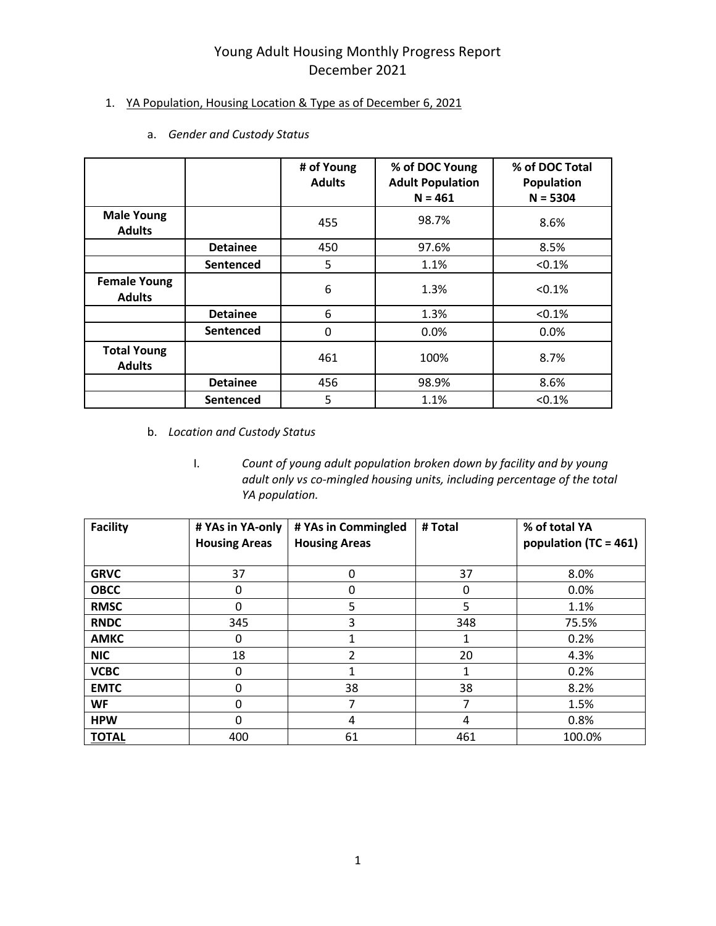#### 1. YA Population, Housing Location & Type as of December 6, 2021

|                                      |                 | # of Young<br><b>Adults</b> | % of DOC Young<br><b>Adult Population</b><br>$N = 461$ | % of DOC Total<br>Population<br>$N = 5304$ |
|--------------------------------------|-----------------|-----------------------------|--------------------------------------------------------|--------------------------------------------|
| <b>Male Young</b><br><b>Adults</b>   |                 | 455                         | 98.7%<br>8.6%                                          |                                            |
|                                      | <b>Detainee</b> | 450                         | 97.6%<br>8.5%                                          |                                            |
|                                      | Sentenced       | 5                           | 1.1%                                                   | < 0.1%                                     |
| <b>Female Young</b><br><b>Adults</b> |                 | 6                           | 1.3%                                                   | < 0.1%                                     |
|                                      | <b>Detainee</b> | 6                           | 1.3%                                                   | < 0.1%                                     |
|                                      | Sentenced       | 0                           | 0.0%                                                   | 0.0%                                       |
| <b>Total Young</b><br><b>Adults</b>  |                 | 461                         | 100%                                                   | 8.7%                                       |
|                                      | <b>Detainee</b> | 456                         | 98.9%                                                  | 8.6%                                       |
|                                      | Sentenced       | 5                           | 1.1%                                                   | < 0.1%                                     |

a. *Gender and Custody Status* 

- b. *Location and Custody Status*
	- I. *Count of young adult population broken down by facility and by young adult only vs co-mingled housing units, including percentage of the total YA population.*

| <b>Facility</b> | # YAs in YA-only<br><b>Housing Areas</b> | # YAs in Commingled<br><b>Housing Areas</b> | # Total | % of total YA<br>population (TC = 461) |
|-----------------|------------------------------------------|---------------------------------------------|---------|----------------------------------------|
| <b>GRVC</b>     | 37                                       | 0                                           | 37      | 8.0%                                   |
| <b>OBCC</b>     | 0                                        | 0                                           | 0       | 0.0%                                   |
| <b>RMSC</b>     | 0                                        | 5                                           | 5       | 1.1%                                   |
| <b>RNDC</b>     | 345                                      | 3                                           | 348     | 75.5%                                  |
| <b>AMKC</b>     | 0                                        | 1                                           | 1       | 0.2%                                   |
| <b>NIC</b>      | 18                                       | $\mathfrak z$                               | 20      | 4.3%                                   |
| <b>VCBC</b>     | 0                                        | 1                                           | 1       | 0.2%                                   |
| <b>EMTC</b>     | 0                                        | 38                                          | 38      | 8.2%                                   |
| <b>WF</b>       | 0                                        | 7                                           |         | 1.5%                                   |
| <b>HPW</b>      | 0                                        | 4                                           | 4       | 0.8%                                   |
| <b>TOTAL</b>    | 400                                      | 61                                          | 461     | 100.0%                                 |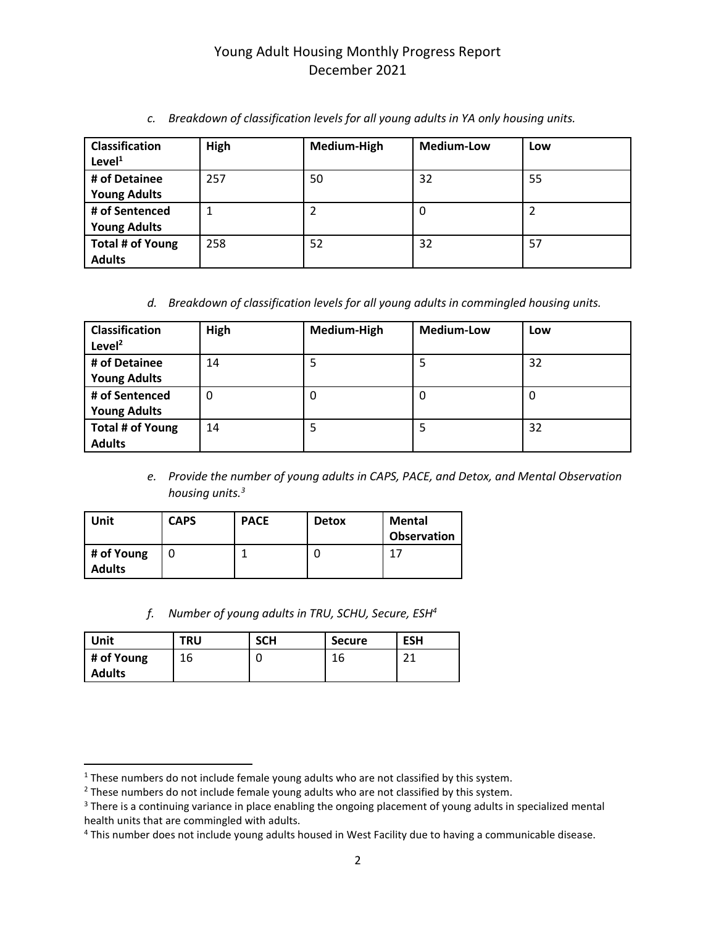| <b>Classification</b><br>Level <sup>1</sup> | High | Medium-High | <b>Medium-Low</b> | Low |
|---------------------------------------------|------|-------------|-------------------|-----|
| # of Detainee                               | 257  | 50          | 32                | 55  |
| <b>Young Adults</b>                         |      |             |                   |     |
| # of Sentenced                              |      | 2           | 0                 | 2   |
| <b>Young Adults</b>                         |      |             |                   |     |
| Total # of Young                            | 258  | 52          | 32                | 57  |
| <b>Adults</b>                               |      |             |                   |     |

*c. Breakdown of classification levels for all young adults in YA only housing units.*

*d. Breakdown of classification levels for all young adults in commingled housing units.*

| <b>Classification</b><br>Level $^2$ | High | Medium-High | <b>Medium-Low</b> | Low |
|-------------------------------------|------|-------------|-------------------|-----|
| # of Detainee                       | 14   | 5           | 5                 | 32  |
| <b>Young Adults</b>                 |      |             |                   |     |
| # of Sentenced                      | 0    | 0           | 0                 | O   |
| <b>Young Adults</b>                 |      |             |                   |     |
| Total # of Young                    | 14   | 5           | 5                 | 32  |
| <b>Adults</b>                       |      |             |                   |     |

*e. Provide the number of young adults in CAPS, PACE, and Detox, and Mental Observation housing units.<sup>3</sup>*

| Unit                        | <b>CAPS</b> | <b>PACE</b> | <b>Detox</b> | Mental<br><b>Observation</b> |
|-----------------------------|-------------|-------------|--------------|------------------------------|
| # of Young<br><b>Adults</b> |             |             |              | 17                           |

*f. Number of young adults in TRU, SCHU, Secure, ESH<sup>4</sup>*

| Unit          | <b>TRU</b> | <b>SCH</b> | <b>Secure</b> | <b>ESH</b> |
|---------------|------------|------------|---------------|------------|
| # of Young    | 16         |            | 16            | ີ          |
| <b>Adults</b> |            |            |               |            |

 $\overline{\phantom{a}}$ 

<sup>&</sup>lt;sup>1</sup> These numbers do not include female young adults who are not classified by this system.

 $2$  These numbers do not include female young adults who are not classified by this system.

<sup>&</sup>lt;sup>3</sup> There is a continuing variance in place enabling the ongoing placement of young adults in specialized mental health units that are commingled with adults.

<sup>&</sup>lt;sup>4</sup> This number does not include young adults housed in West Facility due to having a communicable disease.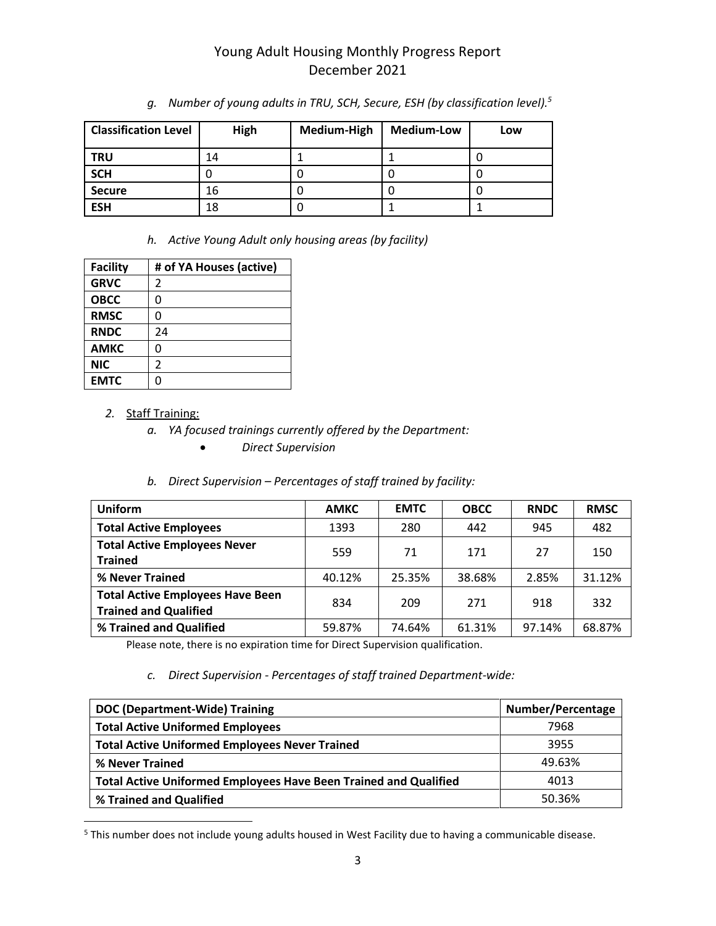| <b>Classification Level</b> | High | Medium-High | <b>Medium-Low</b> | Low |
|-----------------------------|------|-------------|-------------------|-----|
| <b>TRU</b>                  | 14   |             |                   |     |
| <b>SCH</b>                  |      | U           |                   |     |
| <b>Secure</b>               | 16   |             |                   |     |
| <b>ESH</b>                  | 18   | U           |                   |     |

*g. Number of young adults in TRU, SCH, Secure, ESH (by classification level).<sup>5</sup>*

*h. Active Young Adult only housing areas (by facility)*

| <b>Facility</b> | # of YA Houses (active) |
|-----------------|-------------------------|
| <b>GRVC</b>     | 2                       |
| <b>OBCC</b>     | 0                       |
| <b>RMSC</b>     | 0                       |
| <b>RNDC</b>     | 24                      |
| <b>AMKC</b>     | ი                       |
| <b>NIC</b>      | 2                       |
| <b>EMTC</b>     | Π                       |

#### *2.* Staff Training:

 $\overline{\phantom{a}}$ 

- *a. YA focused trainings currently offered by the Department:*
	- *Direct Supervision*

#### *b. Direct Supervision – Percentages of staff trained by facility:*

| <b>Uniform</b>                                                          | <b>AMKC</b> | <b>EMTC</b> | <b>OBCC</b> | <b>RNDC</b> | <b>RMSC</b> |
|-------------------------------------------------------------------------|-------------|-------------|-------------|-------------|-------------|
| <b>Total Active Employees</b>                                           | 1393        | 280         | 442         | 945         | 482         |
| <b>Total Active Employees Never</b><br><b>Trained</b>                   | 559         | 71          | 171         | 27          | 150         |
| % Never Trained                                                         | 40.12%      | 25.35%      | 38.68%      | 2.85%       | 31.12%      |
| <b>Total Active Employees Have Been</b><br><b>Trained and Qualified</b> | 834         | 209         | 271         | 918         | 332         |
| % Trained and Qualified                                                 | 59.87%      | 74.64%      | 61.31%      | 97.14%      | 68.87%      |

Please note, there is no expiration time for Direct Supervision qualification.

#### *c. Direct Supervision - Percentages of staff trained Department-wide:*

| DOC (Department-Wide) Training                                          | Number/Percentage |
|-------------------------------------------------------------------------|-------------------|
| <b>Total Active Uniformed Employees</b>                                 | 7968              |
| <b>Total Active Uniformed Employees Never Trained</b>                   | 3955              |
| % Never Trained                                                         | 49.63%            |
| <b>Total Active Uniformed Employees Have Been Trained and Qualified</b> | 4013              |
| % Trained and Qualified                                                 | 50.36%            |

<sup>5</sup> This number does not include young adults housed in West Facility due to having a communicable disease.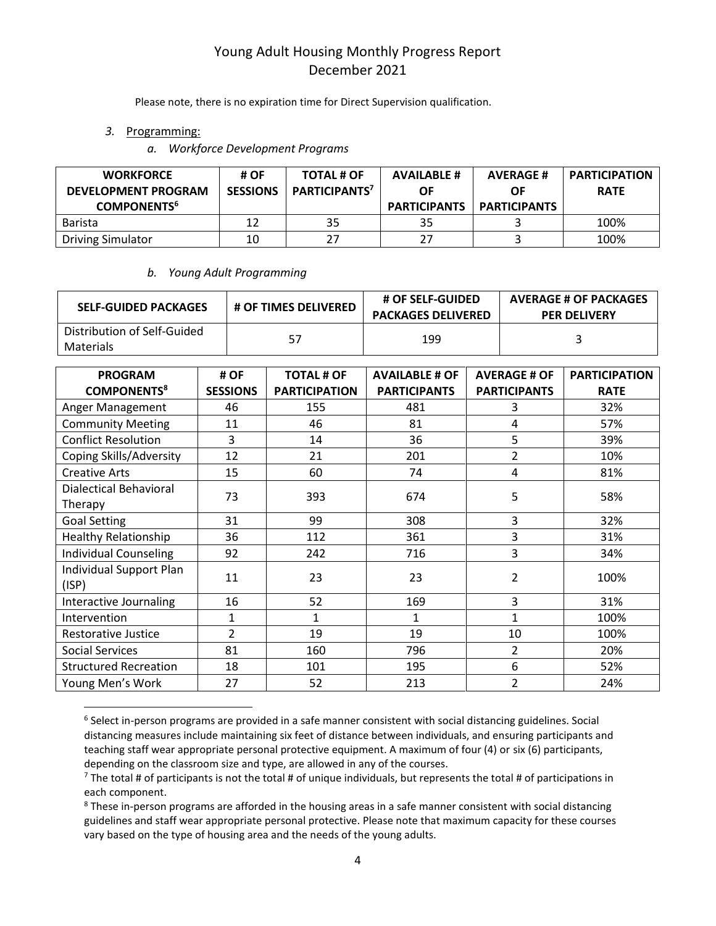Please note, there is no expiration time for Direct Supervision qualification.

*3.* Programming:

 $\overline{\phantom{a}}$ 

*a. Workforce Development Programs*

| <b>WORKFORCE</b><br><b>DEVELOPMENT PROGRAM</b><br><b>COMPONENTS<sup>6</sup></b> | # OF<br><b>SESSIONS</b> | <b>TOTAL # OF</b><br>PARTICIPANTS <sup>7</sup> | <b>AVAILABLE #</b><br>ΟF<br><b>PARTICIPANTS</b> | <b>AVERAGE#</b><br>ΩF<br><b>PARTICIPANTS</b> | <b>PARTICIPATION</b><br><b>RATE</b> |
|---------------------------------------------------------------------------------|-------------------------|------------------------------------------------|-------------------------------------------------|----------------------------------------------|-------------------------------------|
| Barista                                                                         | 12                      | 35                                             | 35                                              |                                              | 100%                                |
| <b>Driving Simulator</b>                                                        | 10                      | 27                                             | 27                                              |                                              | 100%                                |

#### *b. Young Adult Programming*

| <b>SELF-GUIDED PACKAGES</b>                     | # OF TIMES DELIVERED | # OF SELF-GUIDED<br><b>PACKAGES DELIVERED</b> | <b>AVERAGE # OF PACKAGES</b><br><b>PER DELIVERY</b> |
|-------------------------------------------------|----------------------|-----------------------------------------------|-----------------------------------------------------|
| Distribution of Self-Guided<br><b>Materials</b> |                      | 199                                           |                                                     |

| <b>PROGRAM</b>                   | # OF            | <b>TOTAL # OF</b>    | <b>AVAILABLE # OF</b> | <b>AVERAGE # OF</b> | <b>PARTICIPATION</b> |
|----------------------------------|-----------------|----------------------|-----------------------|---------------------|----------------------|
| <b>COMPONENTS</b> <sup>8</sup>   | <b>SESSIONS</b> | <b>PARTICIPATION</b> | <b>PARTICIPANTS</b>   | <b>PARTICIPANTS</b> | <b>RATE</b>          |
| Anger Management                 | 46              | 155                  | 481                   | 3                   | 32%                  |
| <b>Community Meeting</b>         | 11              | 46                   | 81                    | 4                   | 57%                  |
| <b>Conflict Resolution</b>       | 3               | 14                   | 36                    | 5                   | 39%                  |
| Coping Skills/Adversity          | 12              | 21                   | 201                   | $\overline{2}$      | 10%                  |
| <b>Creative Arts</b>             | 15              | 60                   | 74                    | 4                   | 81%                  |
| Dialectical Behavioral           | 73              | 393                  | 674                   | 5                   | 58%                  |
| Therapy                          |                 |                      |                       |                     |                      |
| <b>Goal Setting</b>              | 31              | 99                   | 308                   | 3                   | 32%                  |
| <b>Healthy Relationship</b>      | 36              | 112                  | 361                   | 3                   | 31%                  |
| <b>Individual Counseling</b>     | 92              | 242                  | 716                   | 3                   | 34%                  |
| Individual Support Plan<br>(ISP) | 11              | 23                   | 23                    | $\overline{2}$      | 100%                 |
| Interactive Journaling           | 16              | 52                   | 169                   | 3                   | 31%                  |
| Intervention                     | 1               | 1                    | 1                     | $\mathbf{1}$        | 100%                 |
| Restorative Justice              | $\overline{2}$  | 19                   | 19                    | 10                  | 100%                 |
| <b>Social Services</b>           | 81              | 160                  | 796                   | $\overline{2}$      | 20%                  |
| <b>Structured Recreation</b>     | 18              | 101                  | 195                   | 6                   | 52%                  |
| Young Men's Work                 | 27              | 52                   | 213                   | $\overline{2}$      | 24%                  |

<sup>&</sup>lt;sup>6</sup> Select in-person programs are provided in a safe manner consistent with social distancing guidelines. Social distancing measures include maintaining six feet of distance between individuals, and ensuring participants and teaching staff wear appropriate personal protective equipment. A maximum of four (4) or six (6) participants, depending on the classroom size and type, are allowed in any of the courses.

 $^7$  The total # of participants is not the total # of unique individuals, but represents the total # of participations in each component.

<sup>&</sup>lt;sup>8</sup> These in-person programs are afforded in the housing areas in a safe manner consistent with social distancing guidelines and staff wear appropriate personal protective. Please note that maximum capacity for these courses vary based on the type of housing area and the needs of the young adults.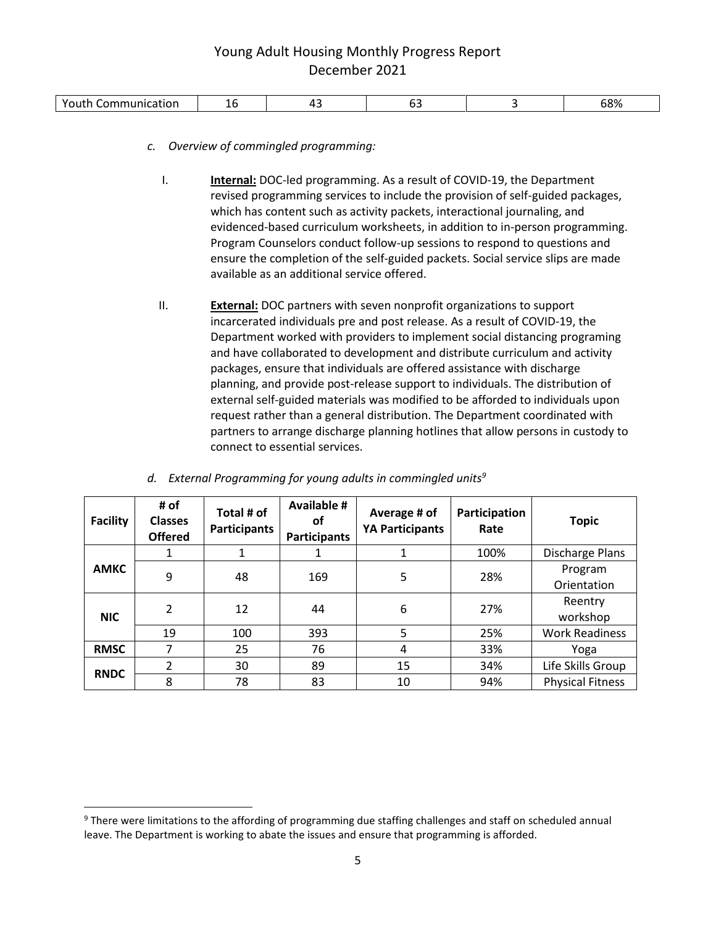| and the control of the con- | communication<br>nication |  | . . | ີ |  | 68% |
|-----------------------------|---------------------------|--|-----|---|--|-----|
|-----------------------------|---------------------------|--|-----|---|--|-----|

- *c. Overview of commingled programming:*
	- I. **Internal:** DOC-led programming. As a result of COVID-19, the Department revised programming services to include the provision of self-guided packages, which has content such as activity packets, interactional journaling, and evidenced-based curriculum worksheets, in addition to in-person programming. Program Counselors conduct follow-up sessions to respond to questions and ensure the completion of the self-guided packets. Social service slips are made available as an additional service offered.
	- II. **External:** DOC partners with seven nonprofit organizations to support incarcerated individuals pre and post release. As a result of COVID-19, the Department worked with providers to implement social distancing programing and have collaborated to development and distribute curriculum and activity packages, ensure that individuals are offered assistance with discharge planning, and provide post-release support to individuals. The distribution of external self-guided materials was modified to be afforded to individuals upon request rather than a general distribution. The Department coordinated with partners to arrange discharge planning hotlines that allow persons in custody to connect to essential services.

| <b>Facility</b> | # of<br><b>Classes</b><br><b>Offered</b> | Total # of<br><b>Participants</b> | <b>Available #</b><br>οf<br><b>Participants</b> | Average # of<br><b>YA Participants</b> | Participation<br>Rate | <b>Topic</b>            |
|-----------------|------------------------------------------|-----------------------------------|-------------------------------------------------|----------------------------------------|-----------------------|-------------------------|
|                 |                                          |                                   |                                                 |                                        | 100%                  | Discharge Plans         |
| <b>AMKC</b>     | 9                                        | 48                                | 169                                             | 5                                      | 28%                   | Program<br>Orientation  |
| <b>NIC</b>      | $\mathcal{P}$                            | 12                                | 44                                              | 6                                      | 27%                   | Reentry<br>workshop     |
|                 | 19                                       | 100                               | 393                                             | 5                                      | 25%                   | <b>Work Readiness</b>   |
| <b>RMSC</b>     |                                          | 25                                | 76                                              | 4                                      | 33%                   | Yoga                    |
|                 | フ                                        | 30                                | 89                                              | 15                                     | 34%                   | Life Skills Group       |
| <b>RNDC</b>     | 8                                        | 78                                | 83                                              | 10                                     | 94%                   | <b>Physical Fitness</b> |

| d. External Programming for young adults in commingled units <sup>9</sup> |  |
|---------------------------------------------------------------------------|--|
|                                                                           |  |

 $\overline{\phantom{a}}$ 

<sup>9</sup> There were limitations to the affording of programming due staffing challenges and staff on scheduled annual leave. The Department is working to abate the issues and ensure that programming is afforded.